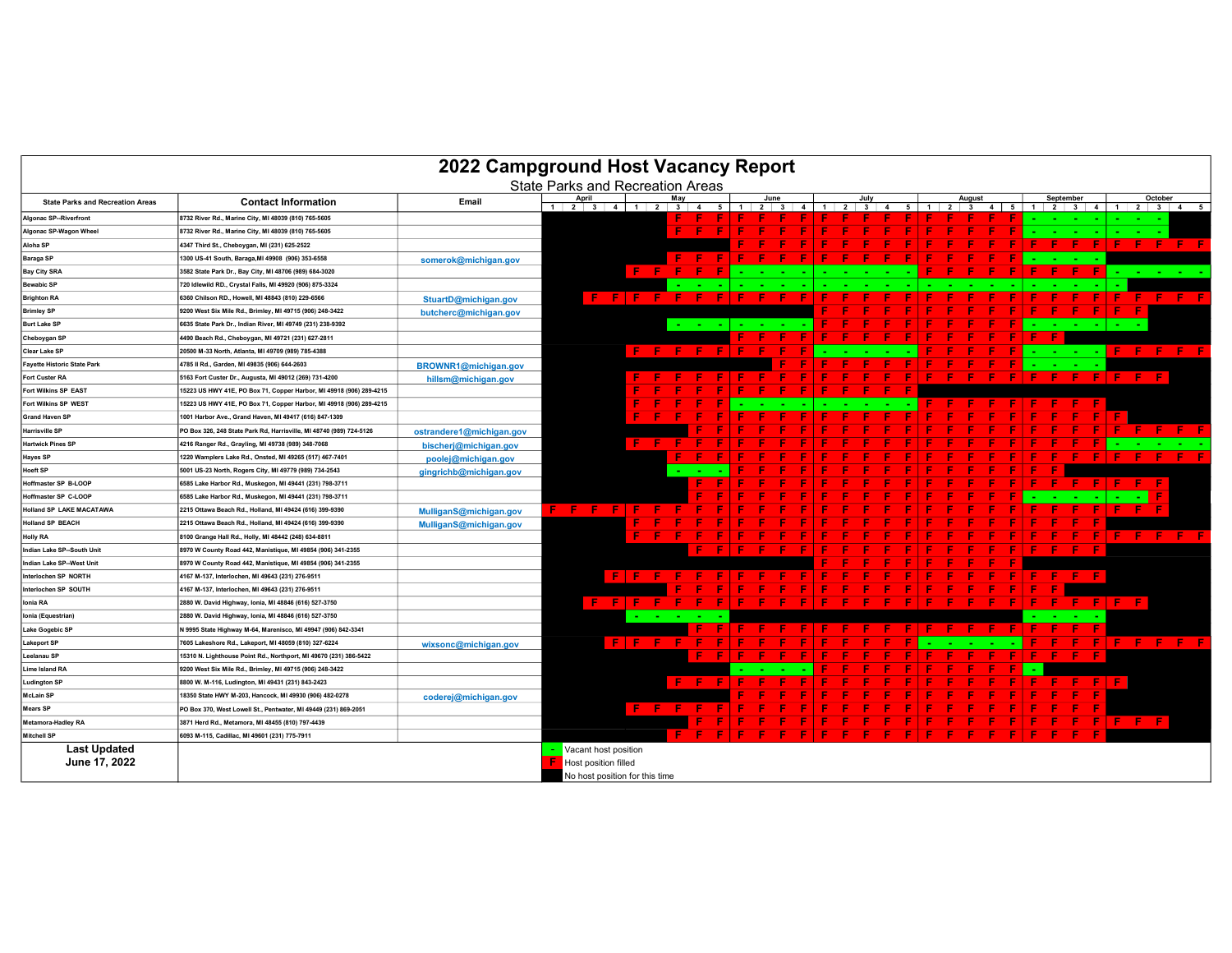| 2022 Campground Host Vacancy Report     |                                                                     |                          |                                         |       |           |     |                               |  |                        |                                |                |                |              |   |                                          |                |   |                                     |                |       |                                        |                 |
|-----------------------------------------|---------------------------------------------------------------------|--------------------------|-----------------------------------------|-------|-----------|-----|-------------------------------|--|------------------------|--------------------------------|----------------|----------------|--------------|---|------------------------------------------|----------------|---|-------------------------------------|----------------|-------|----------------------------------------|-----------------|
|                                         |                                                                     |                          | <b>State Parks and Recreation Areas</b> |       |           |     |                               |  |                        |                                |                |                |              |   |                                          |                |   |                                     |                |       |                                        |                 |
| <b>State Parks and Recreation Areas</b> | <b>Contact Information</b>                                          | Email                    | April<br>$1 \ 2 \ 3 \ 4 \ 1 \ 2 \ 3$    |       |           | May | -5<br>$\overline{\mathbf{4}}$ |  | June<br>2 <sup>1</sup> | $\mathbf{3}$<br>$\overline{4}$ | $\overline{1}$ | $\overline{2}$ | $\mathbf{3}$ | 5 | August<br>$\overline{2}$<br>$\mathbf{3}$ | $\overline{4}$ | 5 | September<br>$1 \mid 2 \mid 3 \mid$ | $\overline{4}$ |       | October<br>$1 \quad 2 \quad 3 \quad 4$ | 5               |
| <b>Algonac SP--Riverfront</b>           | 8732 River Rd., Marine City, MI 48039 (810) 765-5605                |                          |                                         |       |           |     |                               |  |                        |                                |                |                |              |   |                                          |                |   |                                     |                |       |                                        |                 |
| Algonac SP-Wagon Wheel                  | 8732 River Rd., Marine City, MI 48039 (810) 765-5605                |                          |                                         |       |           |     |                               |  |                        |                                |                |                |              |   |                                          |                |   |                                     |                |       |                                        |                 |
| Aloha SP                                | 4347 Third St., Cheboygan, MI (231) 625-2522                        |                          |                                         |       |           |     |                               |  |                        |                                |                |                |              |   |                                          |                |   |                                     |                |       | -F                                     | i Filip<br>- F. |
| <b>Baraga SP</b>                        | 1300 US-41 South, Baraga, MI 49908 (906) 353-6558                   | somerok@michigan.gov     |                                         |       |           |     |                               |  |                        |                                |                |                |              |   |                                          |                |   |                                     |                |       |                                        |                 |
| <b>Bay City SRA</b>                     | 3582 State Park Dr., Bay City, MI 48706 (989) 684-3020              |                          |                                         |       | F.        |     |                               |  |                        |                                |                |                |              |   |                                          |                |   |                                     |                |       |                                        |                 |
| <b>Bewabic SP</b>                       | 720 Idlewild RD., Crystal Falls, MI 49920 (906) 875-3324            |                          |                                         |       |           |     |                               |  |                        |                                |                |                |              |   |                                          |                |   |                                     |                |       |                                        |                 |
| <b>Brighton RA</b>                      | 6360 Chilson RD., Howell, MI 48843 (810) 229-6566                   | StuartD@michigan.gov     |                                         |       | F FIF F   |     |                               |  |                        |                                |                |                |              |   |                                          |                |   |                                     |                |       |                                        | -F.             |
| <b>Brimley SP</b>                       | 9200 West Six Mile Rd., Brimley, MI 49715 (906) 248-3422            | butcherc@michigan.gov    |                                         |       |           |     |                               |  |                        |                                |                |                |              |   |                                          |                |   |                                     |                |       |                                        |                 |
| <b>Burt Lake SP</b>                     | 6635 State Park Dr., Indian River, MI 49749 (231) 238-9392          |                          |                                         |       |           |     |                               |  |                        |                                |                |                |              |   |                                          |                |   |                                     |                |       |                                        |                 |
| Cheboygan SP                            | 4490 Beach Rd., Cheboygan, MI 49721 (231) 627-2811                  |                          |                                         |       |           |     |                               |  |                        |                                |                |                |              |   |                                          |                |   |                                     |                |       |                                        |                 |
| Clear Lake SP                           | 20500 M-33 North, Atlanta, MI 49709 (989) 785-4388                  |                          |                                         |       | F.        |     |                               |  |                        |                                |                |                |              |   |                                          |                |   |                                     |                |       | - 6                                    | Æ.<br>- F       |
| <b>Fayette Historic State Park</b>      | 4785 Il Rd., Garden, MI 49835 (906) 644-2603                        | BROWNR1@michigan.gov     |                                         |       |           |     |                               |  |                        |                                |                |                |              |   |                                          |                |   |                                     |                |       |                                        |                 |
| <b>Fort Custer RA</b>                   | 5163 Fort Custer Dr., Augusta, MI 49012 (269) 731-4200              | hillsm@michigan.gov      |                                         |       |           |     |                               |  |                        |                                |                |                |              |   |                                          |                |   |                                     |                |       | <b>FF</b>                              |                 |
| Fort Wilkins SP EAST                    | 15223 US HWY 41E, PO Box 71, Copper Harbor, MI 49918 (906) 289-4215 |                          |                                         |       |           |     |                               |  |                        |                                |                |                |              |   |                                          |                |   |                                     |                |       |                                        |                 |
| Fort Wilkins SP WEST                    | 15223 US HWY 41E, PO Box 71, Copper Harbor, MI 49918 (906) 289-4215 |                          |                                         |       |           |     |                               |  |                        |                                |                |                |              |   |                                          |                |   |                                     |                |       |                                        |                 |
| <b>Grand Haven SF</b>                   | 1001 Harbor Ave., Grand Haven, MI 49417 (616) 847-1309              |                          |                                         |       |           |     |                               |  |                        |                                |                |                |              |   |                                          |                |   |                                     |                |       |                                        |                 |
| <b>Harrisville SP</b>                   | PO Box 326, 248 State Park Rd, Harrisville, MI 48740 (989) 724-5126 | ostrandere1@michigan.gov |                                         |       |           |     |                               |  |                        |                                |                |                |              |   |                                          |                |   |                                     |                |       |                                        |                 |
| <b>Hartwick Pines SP</b>                | 4216 Ranger Rd., Grayling, MI 49738 (989) 348-7068                  | bischerj@michigan.gov    |                                         |       | <b>E</b>  |     |                               |  |                        |                                |                |                |              |   |                                          |                |   |                                     |                |       |                                        |                 |
| <b>Hayes SP</b>                         | 1220 Wamplers Lake Rd., Onsted, MI 49265 (517) 467-7401             | poolej@michigan.gov      |                                         |       |           |     |                               |  |                        |                                |                |                |              |   |                                          |                |   |                                     |                |       |                                        |                 |
| <b>Hoeft SP</b>                         | 5001 US-23 North, Rogers City, MI 49779 (989) 734-2543              | gingrichb@michigan.gov   |                                         |       |           |     |                               |  |                        |                                |                |                |              |   |                                          |                |   |                                     |                |       |                                        |                 |
| Hoffmaster SP B-LOOP                    | 6585 Lake Harbor Rd., Muskegon, MI 49441 (231) 798-3711             |                          |                                         |       |           |     |                               |  |                        |                                |                |                |              |   |                                          |                |   |                                     |                |       |                                        |                 |
| Hoffmaster SP C-LOOP                    | 6585 Lake Harbor Rd., Muskegon, MI 49441 (231) 798-3711             |                          |                                         |       |           |     |                               |  |                        |                                |                |                |              |   |                                          |                |   |                                     |                |       |                                        |                 |
| <b>Holland SP LAKE MACATAWA</b>         | 2215 Ottawa Beach Rd., Holland, MI 49424 (616) 399-9390             | MulliganS@michigan.gov   | F.<br>- 6                               |       |           |     |                               |  |                        |                                |                |                |              |   |                                          |                |   |                                     |                |       |                                        |                 |
| <b>Holland SP BEACH</b>                 | 2215 Ottawa Beach Rd., Holland, MI 49424 (616) 399-9390             | MulliganS@michigan.gov   |                                         |       |           |     |                               |  |                        |                                |                |                |              |   |                                          |                |   |                                     |                |       |                                        |                 |
| <b>Holly RA</b>                         | 8100 Grange Hall Rd., Holly, MI 48442 (248) 634-8811                |                          |                                         |       |           |     |                               |  |                        |                                |                |                |              |   |                                          |                |   |                                     |                |       |                                        |                 |
| Indian Lake SP--South Unit              | 8970 W County Road 442, Manistique, MI 49854 (906) 341-2355         |                          |                                         |       |           |     |                               |  |                        |                                |                |                |              |   |                                          |                |   |                                     |                |       |                                        |                 |
| Indian Lake SP--West Unit               | 8970 W County Road 442, Manistique, MI 49854 (906) 341-2355         |                          |                                         |       |           |     |                               |  |                        |                                |                |                |              |   |                                          |                |   |                                     |                |       |                                        |                 |
| Interlochen SP NORTH                    | 4167 M-137, Interlochen, MI 49643 (231) 276-9511                    |                          |                                         | . F L |           |     |                               |  |                        |                                |                |                |              |   |                                          |                |   |                                     |                |       |                                        |                 |
| Interlochen SP SOUTH                    | 4167 M-137, Interlochen, MI 49643 (231) 276-9511                    |                          |                                         |       |           |     |                               |  |                        |                                |                |                |              |   |                                          |                |   |                                     |                |       |                                        |                 |
| Ionia RA                                | 2880 W. David Highway, Ionia, MI 48846 (616) 527-3750               |                          | - E -                                   | . р.  |           |     |                               |  |                        |                                |                |                |              |   |                                          |                |   | - 6                                 |                |       | -F.                                    |                 |
| Ionia (Equestrian)                      | 2880 W. David Highway, Ionia, MI 48846 (616) 527-3750               |                          |                                         |       |           |     |                               |  |                        |                                |                |                |              |   |                                          |                |   |                                     |                |       |                                        |                 |
| <b>Lake Gogebic SP</b>                  | N 9995 State Highway M-64, Marenisco, MI 49947 (906) 842-3341       |                          |                                         |       |           |     |                               |  |                        |                                |                |                |              |   |                                          |                |   |                                     |                |       |                                        |                 |
| <b>Lakeport SP</b>                      | 7605 Lakeshore Rd., Lakeport, MI 48059 (810) 327-6224               | wixsonc@michigan.gov     |                                         |       |           |     |                               |  |                        |                                |                |                |              |   |                                          |                |   |                                     |                |       |                                        |                 |
| Leelanau SP                             | 15310 N. Lighthouse Point Rd., Northport, MI 49670 (231) 386-5422   |                          |                                         |       |           |     |                               |  |                        |                                |                |                |              |   |                                          |                |   |                                     |                |       |                                        |                 |
| Lime Island RA                          | 9200 West Six Mile Rd., Brimley, MI 49715 (906) 248-3422            |                          |                                         |       |           |     |                               |  |                        |                                |                |                |              |   |                                          |                |   |                                     |                |       |                                        |                 |
| <b>Ludington SP</b>                     | 8800 W. M-116, Ludington, MI 49431 (231) 843-2423                   |                          |                                         |       |           |     |                               |  |                        |                                |                |                |              |   |                                          |                |   |                                     |                |       |                                        |                 |
| <b>McLain SP</b>                        | 18350 State HWY M-203, Hancock, MI 49930 (906) 482-0278             | coderej@michigan.gov     |                                         |       |           |     |                               |  |                        |                                |                |                |              |   |                                          |                |   |                                     |                |       |                                        |                 |
| <b>Mears SP</b>                         | PO Box 370, West Lowell St., Pentwater, MI 49449 (231) 869-2051     |                          |                                         |       | F.<br>- F |     |                               |  |                        |                                |                |                |              |   |                                          |                |   |                                     |                |       |                                        |                 |
| Metamora-Hadley RA                      | 3871 Herd Rd., Metamora, MI 48455 (810) 797-4439                    |                          |                                         |       |           |     |                               |  |                        |                                |                |                |              |   |                                          |                |   |                                     |                | - F - | - F F                                  |                 |
| <b>Mitchell SP</b>                      | 6093 M-115, Cadillac, MI 49601 (231) 775-7911                       |                          |                                         |       |           |     |                               |  |                        |                                |                |                |              |   |                                          |                |   |                                     |                |       |                                        |                 |
| <b>Last Updated</b>                     |                                                                     |                          | Vacant host position                    |       |           |     |                               |  |                        |                                |                |                |              |   |                                          |                |   |                                     |                |       |                                        |                 |
| June 17, 2022                           |                                                                     |                          | Host position filled                    |       |           |     |                               |  |                        |                                |                |                |              |   |                                          |                |   |                                     |                |       |                                        |                 |
|                                         |                                                                     |                          | No host position for this time          |       |           |     |                               |  |                        |                                |                |                |              |   |                                          |                |   |                                     |                |       |                                        |                 |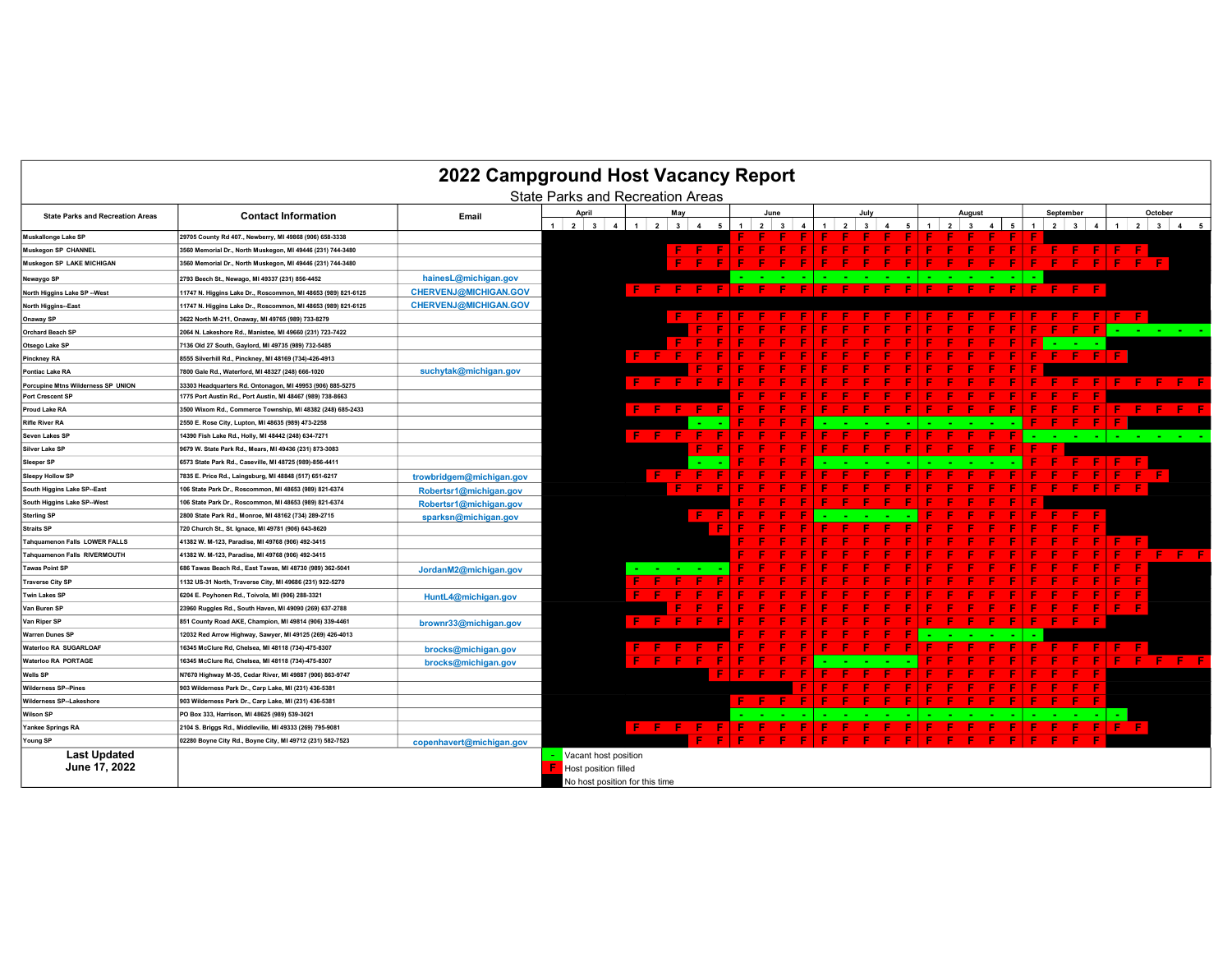| 2022 Campground Host Vacancy Report<br><b>State Parks and Recreation Areas</b> |                                                               |                              |                                                |                              |     |                    |  |                |                                 |                      |            |                          |   |                         |           |                                     |                       |
|--------------------------------------------------------------------------------|---------------------------------------------------------------|------------------------------|------------------------------------------------|------------------------------|-----|--------------------|--|----------------|---------------------------------|----------------------|------------|--------------------------|---|-------------------------|-----------|-------------------------------------|-----------------------|
|                                                                                |                                                               |                              |                                                |                              |     |                    |  |                |                                 |                      |            |                          |   |                         |           |                                     |                       |
| <b>State Parks and Recreation Areas</b>                                        | <b>Contact Information</b>                                    | Email                        | April<br>$1 \quad 2 \quad 3$<br>$\overline{4}$ | May<br>$\blacksquare$<br>234 | 5   | June<br>$2 \mid 3$ |  | 2 <sup>1</sup> | July<br>$\overline{\mathbf{3}}$ | $\blacktriangleleft$ | $2 \mid 3$ | August<br>$\overline{4}$ | 5 | September<br>$2 \mid 3$ |           | October<br>$1 \mid 2 \mid 3 \mid 4$ |                       |
| Muskallonge Lake SP                                                            | 29705 County Rd 407., Newberry, MI 49868 (906) 658-3338       |                              |                                                |                              |     |                    |  |                |                                 |                      |            |                          |   |                         |           |                                     |                       |
| Muskegon SP CHANNEL                                                            | 3560 Memorial Dr., North Muskegon, MI 49446 (231) 744-3480    |                              |                                                | Æ.                           | - 6 |                    |  |                |                                 |                      |            |                          |   | -F.                     | - 6<br>æ. |                                     |                       |
| Muskegon SP LAKE MICHIGAN                                                      | 3560 Memorial Dr., North Muskegon, MI 49446 (231) 744-3480    |                              |                                                | E                            |     |                    |  |                |                                 |                      |            |                          |   |                         |           |                                     |                       |
| Newaygo SP                                                                     | 2793 Beech St., Newago, MI 49337 (231) 856-4452               | hainesL@michigan.gov         |                                                |                              |     |                    |  |                |                                 |                      |            |                          |   |                         |           |                                     |                       |
| North Higgins Lake SP -- West                                                  | 11747 N. Higgins Lake Dr., Roscommon, MI 48653 (989) 821-6125 | <b>CHERVENJ@MICHIGAN.GOV</b> |                                                | F.<br>- F 1<br>- 6           |     |                    |  |                |                                 |                      |            |                          |   |                         |           |                                     |                       |
| North Higgins--East                                                            | 11747 N. Higgins Lake Dr., Roscommon, MI 48653 (989) 821-6125 | <b>CHERVENJ@MICHIGAN.GOV</b> |                                                |                              |     |                    |  |                |                                 |                      |            |                          |   |                         |           |                                     |                       |
| Onaway SP                                                                      | 3622 North M-211, Onaway, MI 49765 (989) 733-8279             |                              |                                                |                              |     |                    |  |                |                                 |                      |            |                          |   |                         |           |                                     |                       |
| <b>Orchard Beach SP</b>                                                        | 2064 N. Lakeshore Rd., Manistee, MI 49660 (231) 723-7422      |                              |                                                |                              |     |                    |  |                |                                 |                      |            |                          |   |                         |           |                                     | <b>All Card Corp.</b> |
| Otsego Lake SP                                                                 | 7136 Old 27 South, Gaylord, MI 49735 (989) 732-5485           |                              |                                                |                              |     |                    |  |                |                                 |                      |            |                          |   |                         |           |                                     |                       |
| Pinckney RA                                                                    | 8555 Silverhill Rd., Pinckney, MI 48169 (734)-426-4913        |                              |                                                | F.<br><b>C</b>               |     |                    |  |                |                                 |                      |            |                          |   |                         |           |                                     |                       |
| Pontiac Lake RA                                                                | 7800 Gale Rd., Waterford, MI 48327 (248) 666-1020             | suchytak@michigan.gov        |                                                |                              |     |                    |  |                |                                 |                      |            |                          |   |                         |           |                                     |                       |
| Porcupine Mtns Wilderness SP UNION                                             | 33303 Headquarters Rd. Ontonagon. MI 49953 (906) 885-5275     |                              |                                                |                              |     |                    |  |                |                                 |                      |            |                          |   |                         |           | Æ                                   | - F -<br>- F .        |
| Port Crescent SF                                                               | 1775 Port Austin Rd., Port Austin, MI 48467 (989) 738-8663    |                              |                                                |                              |     |                    |  |                |                                 |                      |            |                          |   |                         |           |                                     |                       |
| Proud Lake RA                                                                  | 3500 Wixom Rd., Commerce Township, MI 48382 (248) 685-2433    |                              |                                                |                              |     |                    |  |                |                                 |                      |            |                          |   |                         |           |                                     |                       |
| <b>Rifle River RA</b>                                                          | 2550 E. Rose City, Lupton, MI 48635 (989) 473-2258            |                              |                                                |                              |     |                    |  |                |                                 |                      |            |                          |   |                         |           |                                     |                       |
| Seven Lakes SF                                                                 | 14390 Fish Lake Rd., Holly, MI 48442 (248) 634-7271           |                              |                                                | E. F.                        |     |                    |  |                |                                 |                      |            |                          |   |                         |           |                                     |                       |
| <b>Silver Lake SP</b>                                                          | 9679 W. State Park Rd., Mears, MI 49436 (231) 873-3083        |                              |                                                |                              |     |                    |  |                |                                 |                      |            |                          |   |                         |           |                                     |                       |
| <b>Sleeper SP</b>                                                              | 6573 State Park Rd., Caseville, MI 48725 (989)-856-4411       |                              |                                                |                              |     |                    |  |                |                                 |                      |            |                          |   |                         |           |                                     |                       |
| <b>Sleepy Hollow SP</b>                                                        | 7835 E. Price Rd., Laingsburg, MI 48848 (517) 651-6217        | trowbridgem@michigan.gov     |                                                | F.                           |     |                    |  |                |                                 |                      |            |                          |   |                         |           |                                     |                       |
| South Higgins Lake SP-East                                                     | 106 State Park Dr., Roscommon, MI 48653 (989) 821-6374        | Robertsr1@michigan.gov       |                                                |                              |     |                    |  |                |                                 |                      |            |                          |   |                         |           |                                     |                       |
| South Higgins Lake SP-West                                                     | 106 State Park Dr., Roscommon, MI 48653 (989) 821-6374        | Robertsr1@michigan.gov       |                                                |                              |     |                    |  |                |                                 |                      |            |                          |   |                         |           |                                     |                       |
| <b>Sterling SP</b>                                                             | 2800 State Park Rd., Monroe, MI 48162 (734) 289-2715          | sparksn@michigan.gov         |                                                |                              | Æ   |                    |  |                |                                 |                      |            |                          |   |                         |           |                                     |                       |
| <b>Straits SP</b>                                                              | 720 Church St., St. Ignace, MI 49781 (906) 643-8620           |                              |                                                |                              |     |                    |  |                |                                 |                      |            |                          |   |                         |           |                                     |                       |
| Tahquamenon Falls LOWER FALLS                                                  | 41382 W. M-123, Paradise, MI 49768 (906) 492-3415             |                              |                                                |                              |     |                    |  |                |                                 |                      |            |                          |   |                         |           |                                     |                       |
| Tahquamenon Falls RIVERMOUTH                                                   | 41382 W. M-123, Paradise, MI 49768 (906) 492-3415             |                              |                                                |                              |     |                    |  |                |                                 |                      |            |                          |   |                         |           |                                     | . E .                 |
| <b>Tawas Point SP</b>                                                          | 686 Tawas Beach Rd., East Tawas, MI 48730 (989) 362-5041      | JordanM2@michigan.gov        |                                                |                              |     |                    |  |                |                                 |                      |            |                          |   |                         |           |                                     |                       |
| <b>Traverse City SP</b>                                                        | 1132 US-31 North, Traverse City, MI 49686 (231) 922-5270      |                              |                                                |                              |     |                    |  |                |                                 |                      |            |                          |   |                         |           |                                     |                       |
| <b>Twin Lakes SF</b>                                                           | 6204 E. Poyhonen Rd., Toivola, MI (906) 288-3321              | HuntL4@michigan.gov          |                                                |                              |     |                    |  |                |                                 |                      |            |                          |   |                         |           |                                     |                       |
| Van Buren SP                                                                   | 23960 Ruggles Rd., South Haven, MI 49090 (269) 637-2788       |                              |                                                |                              |     |                    |  |                |                                 |                      |            |                          |   |                         |           |                                     |                       |
| Van Riper SP                                                                   | 851 County Road AKE, Champion, MI 49814 (906) 339-4461        | brownr33@michigan.gov        |                                                | F.                           |     |                    |  |                |                                 |                      |            |                          |   |                         |           |                                     |                       |
| <b>Warren Dunes SP</b>                                                         | 12032 Red Arrow Highway, Sawyer, MI 49125 (269) 426-4013      |                              |                                                |                              |     |                    |  |                |                                 |                      |            |                          |   |                         |           |                                     |                       |
| Waterloo RA SUGARLOAF                                                          | 16345 McClure Rd. Chelsea. MI 48118 (734)-475-8307            | brocks@michigan.gov          |                                                |                              |     |                    |  |                |                                 |                      |            |                          |   |                         |           |                                     |                       |
| Waterloo RA PORTAGE                                                            | 16345 McClure Rd, Chelsea, MI 48118 (734)-475-8307            | brocks@michigan.gov          |                                                |                              |     |                    |  |                |                                 |                      |            |                          |   |                         |           |                                     |                       |
| Wells SP                                                                       | N7670 Highway M-35, Cedar River, MI 49887 (906) 863-9747      |                              |                                                |                              |     |                    |  |                |                                 |                      |            |                          |   |                         |           |                                     |                       |
| <b>Wilderness SP--Pines</b>                                                    | 903 Wilderness Park Dr., Carp Lake, MI (231) 436-5381         |                              |                                                |                              |     |                    |  |                |                                 |                      |            |                          |   |                         |           |                                     |                       |
| Wilderness SP--Lakeshore                                                       | 903 Wilderness Park Dr., Carp Lake, MI (231) 436-5381         |                              |                                                |                              |     |                    |  |                |                                 |                      |            |                          |   |                         |           |                                     |                       |
| <b>Wilson SP</b>                                                               | PO Box 333, Harrison, MI 48625 (989) 539-3021                 |                              |                                                |                              |     |                    |  |                |                                 |                      |            |                          |   |                         |           |                                     |                       |
| Yankee Springs RA                                                              | 2104 S. Briggs Rd., Middleville, MI 49333 (269) 795-9081      |                              |                                                | F F F                        |     |                    |  |                |                                 |                      |            |                          |   |                         |           | -F.                                 |                       |
| Young SP                                                                       | 02280 Boyne City Rd., Boyne City, MI 49712 (231) 582-7523     | copenhavert@michigan.gov     |                                                |                              |     |                    |  |                |                                 |                      |            |                          |   |                         |           |                                     |                       |
| <b>Last Updated</b>                                                            |                                                               |                              | Vacant host position                           |                              |     |                    |  |                |                                 |                      |            |                          |   |                         |           |                                     |                       |
| June 17, 2022                                                                  |                                                               |                              | <b>Host position filled</b>                    |                              |     |                    |  |                |                                 |                      |            |                          |   |                         |           |                                     |                       |
|                                                                                |                                                               |                              | No host position for this time                 |                              |     |                    |  |                |                                 |                      |            |                          |   |                         |           |                                     |                       |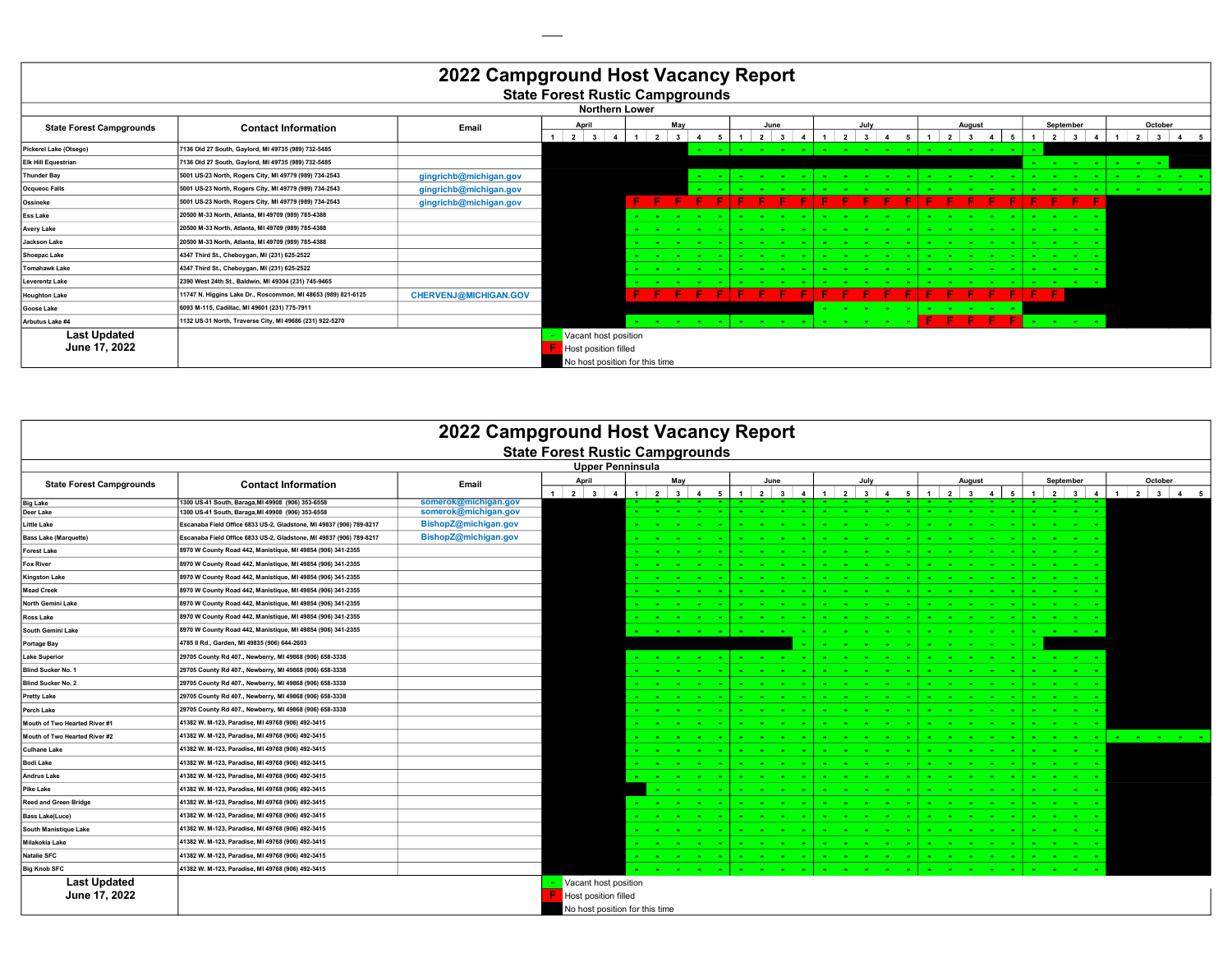| 2022 Campground Host Vacancy Report<br><b>State Forest Rustic Campgrounds</b> |                                                               |                              |                            |                       |                      |                   |                                     |  |   |                                |  |  |                           |            |                   |              |                                |                |                                        |                   |                    |                 |                 |                |  |  |  |  |  |  |  |  |  |  |         |         |  |
|-------------------------------------------------------------------------------|---------------------------------------------------------------|------------------------------|----------------------------|-----------------------|----------------------|-------------------|-------------------------------------|--|---|--------------------------------|--|--|---------------------------|------------|-------------------|--------------|--------------------------------|----------------|----------------------------------------|-------------------|--------------------|-----------------|-----------------|----------------|--|--|--|--|--|--|--|--|--|--|---------|---------|--|
|                                                                               |                                                               |                              |                            | <b>Northern Lower</b> |                      |                   |                                     |  |   |                                |  |  |                           |            |                   |              |                                |                |                                        |                   |                    |                 |                 |                |  |  |  |  |  |  |  |  |  |  |         |         |  |
| <b>State Forest Campgrounds</b>                                               | <b>Contact Information</b>                                    | Email                        | April<br>$2^{\frac{1}{3}}$ |                       | 2 <sup>1</sup>       | May               |                                     |  |   | June                           |  |  |                           | July       |                   |              | $\overline{2}$                 | August         |                                        | September         |                    | 2 3             |                 |                |  |  |  |  |  |  |  |  |  |  | October | 2 3 4 5 |  |
| Pickerel Lake (Otsego)                                                        | 7136 Old 27 South, Gaylord, MI 49735 (989) 732-5485           |                              |                            |                       |                      |                   | <b>Contract</b>                     |  |   |                                |  |  |                           |            |                   |              | <b>.</b>                       | <b>Service</b> | . .                                    | <b>Service</b>    |                    |                 |                 |                |  |  |  |  |  |  |  |  |  |  |         |         |  |
| <b>Elk Hill Equestrian</b>                                                    | 7136 Old 27 South, Gaylord, MI 49735 (989) 732-5485           |                              |                            |                       |                      |                   |                                     |  |   |                                |  |  |                           |            |                   |              |                                |                |                                        |                   | <b>State State</b> | <b>Contract</b> | <b>Service</b>  | <b>Service</b> |  |  |  |  |  |  |  |  |  |  |         |         |  |
| <b>Thunder Bay</b>                                                            | 5001 US-23 North, Rogers City, MI 49779 (989) 734-2543        | gingrichb@michigan.gov       |                            |                       |                      |                   | <b>College</b>                      |  | . | <b><i><u>Part 2001</u></i></b> |  |  |                           |            |                   |              | <b><i><u>Part 2001</u></i></b> | . .            | <b>CONTRACTOR</b>                      | <b>COLOR</b>      |                    | .               |                 |                |  |  |  |  |  |  |  |  |  |  |         |         |  |
| Ocqueoc Falls                                                                 | 5001 US-23 North, Rogers City, MI 49779 (989) 734-2543        | gingrichb@michigan.gov       |                            |                       |                      |                   |                                     |  |   |                                |  |  |                           |            |                   |              |                                |                |                                        |                   |                    | <b>Service</b>  | <b>Contract</b> |                |  |  |  |  |  |  |  |  |  |  |         |         |  |
| Ossineke                                                                      | 5001 US-23 North, Rogers City, MI 49779 (989) 734-2543        | gingrichb@michigan.gov       |                            |                       | F.                   |                   |                                     |  |   |                                |  |  |                           |            |                   |              |                                |                |                                        |                   |                    | E.              |                 |                |  |  |  |  |  |  |  |  |  |  |         |         |  |
| <b>Ess Lake</b>                                                               | 20500 M-33 North, Atlanta, MI 49709 (989) 785-4388            |                              |                            |                       |                      |                   |                                     |  |   |                                |  |  |                           |            |                   |              |                                |                |                                        |                   |                    |                 |                 |                |  |  |  |  |  |  |  |  |  |  |         |         |  |
| <b>Avery Lake</b>                                                             | 20500 M-33 North, Atlanta, MI 49709 (989) 785-4388            |                              |                            |                       |                      |                   |                                     |  |   | <b>CONTRACTOR</b>              |  |  |                           |            |                   |              |                                |                |                                        |                   |                    |                 |                 |                |  |  |  |  |  |  |  |  |  |  |         |         |  |
| Jackson Lake                                                                  | 20500 M-33 North, Atlanta, MI 49709 (989) 785-4388            |                              |                            |                       | <b>Service State</b> |                   |                                     |  | . |                                |  |  |                           |            |                   |              | .                              |                | <b>Contract</b>                        |                   | .                  |                 |                 |                |  |  |  |  |  |  |  |  |  |  |         |         |  |
| Shoepac Lake                                                                  | 4347 Third St., Cheboygan, MI (231) 625-2522                  |                              |                            |                       | . .                  | <b>CONTRACTOR</b> |                                     |  |   | <b>COLOR</b>                   |  |  |                           | . .        | <b>CONTRACTOR</b> |              | <b><i><u>ALCO</u></i></b>      |                | <b>CONTRACTOR</b>                      |                   |                    |                 |                 |                |  |  |  |  |  |  |  |  |  |  |         |         |  |
| Tomahawk Lake                                                                 | 4347 Third St., Cheboygan, MI (231) 625-2522                  |                              |                            |                       |                      | . .               |                                     |  |   | <b>Service</b>                 |  |  | <b><i><u>ALCO</u></i></b> |            | <b>CONTRACTOR</b> | <b>COLOR</b> | <b><i><u>Part 2001</u></i></b> | . .            | <b>CONTRACTOR</b><br><b>CONTRACTOR</b> | <b>CONTRACTOR</b> |                    | <b>Service</b>  |                 |                |  |  |  |  |  |  |  |  |  |  |         |         |  |
| <b>Leverentz Lake</b>                                                         | 2390 West 24th St., Baldwin, MI 49304 (231) 745-9465          |                              |                            |                       |                      |                   |                                     |  |   |                                |  |  |                           |            |                   |              |                                |                |                                        | <b>Service</b>    |                    |                 |                 |                |  |  |  |  |  |  |  |  |  |  |         |         |  |
| <b>Houghton Lake</b>                                                          | 11747 N. Higgins Lake Dr., Roscommon, MI 48653 (989) 821-6125 | <b>CHERVENJ@MICHIGAN.GOV</b> |                            |                       |                      |                   |                                     |  |   |                                |  |  |                           |            |                   |              |                                |                |                                        | F.                | F                  |                 |                 |                |  |  |  |  |  |  |  |  |  |  |         |         |  |
| Goose Lake                                                                    | 6093 M-115, Cadillac, MI 49601 (231) 775-7911                 |                              |                            |                       |                      |                   |                                     |  |   |                                |  |  |                           |            |                   |              |                                |                |                                        |                   |                    |                 |                 |                |  |  |  |  |  |  |  |  |  |  |         |         |  |
| Arbutus Lake #4                                                               | 1132 US-31 North, Traverse City, MI 49686 (231) 922-5270      |                              |                            |                       |                      |                   | the contract of the contract of the |  |   | the company's state            |  |  |                           | <b>COL</b> |                   |              |                                |                |                                        |                   |                    |                 |                 |                |  |  |  |  |  |  |  |  |  |  |         |         |  |
| <b>Last Updated</b>                                                           |                                                               |                              | Vacant host position       |                       |                      |                   |                                     |  |   |                                |  |  |                           |            |                   |              |                                |                |                                        |                   |                    |                 |                 |                |  |  |  |  |  |  |  |  |  |  |         |         |  |
| June 17, 2022                                                                 | Host position filled                                          |                              |                            |                       |                      |                   |                                     |  |   |                                |  |  |                           |            |                   |              |                                |                |                                        |                   |                    |                 |                 |                |  |  |  |  |  |  |  |  |  |  |         |         |  |
|                                                                               | No host position for this time                                |                              |                            |                       |                      |                   |                                     |  |   |                                |  |  |                           |            |                   |              |                                |                |                                        |                   |                    |                 |                 |                |  |  |  |  |  |  |  |  |  |  |         |         |  |

| 2022 Campground Host Vacancy Report |                                                                     |                      |                                        |  |             |                |                   |   |   |                 |                         |  |                 |                |   |                |                        |                          |                |                |                |                                 |                |   |            |                                   |
|-------------------------------------|---------------------------------------------------------------------|----------------------|----------------------------------------|--|-------------|----------------|-------------------|---|---|-----------------|-------------------------|--|-----------------|----------------|---|----------------|------------------------|--------------------------|----------------|----------------|----------------|---------------------------------|----------------|---|------------|-----------------------------------|
|                                     |                                                                     |                      | <b>State Forest Rustic Campgrounds</b> |  |             |                |                   |   |   |                 |                         |  |                 |                |   |                |                        |                          |                |                |                |                                 |                |   |            |                                   |
|                                     |                                                                     |                      | <b>Upper Penninsula</b>                |  |             |                |                   |   |   |                 |                         |  |                 |                |   |                |                        |                          |                |                |                |                                 |                |   |            |                                   |
| <b>State Forest Campgrounds</b>     | <b>Contact Information</b>                                          | Email                | April                                  |  |             | May            |                   |   |   | June            |                         |  | July            |                |   |                |                        | August                   |                |                | September      |                                 |                |   | October    |                                   |
| <b>Big Lake</b>                     | 1300 US-41 South, Baraga, MI 49908 (906) 353-6558                   | somerok@michigan.gov | $1 \quad 2 \quad 3$<br>$\mathbf{A}$    |  | $1 \quad 2$ | 3 <sup>1</sup> | 5<br>$\mathbf{A}$ | 1 |   | $2 \mid 3 \mid$ | $\overline{\mathbf{4}}$ |  | $2 \mid 3 \mid$ | $\overline{4}$ | 5 | $\overline{1}$ | $2 \mid 3$             | $\overline{\mathbf{4}}$  | 5              | 1 <sup>1</sup> |                | $2 \mid 3 \mid$<br><b>COLOR</b> | $\overline{4}$ | 1 | $2 \mid 3$ | $\overline{a}$                    |
| Deer Lake                           | 1300 US-41 South, Baraga, MI 49908 (906) 353-6558                   | somerok@michigan.gov |                                        |  |             |                |                   |   |   |                 |                         |  |                 |                |   |                |                        |                          |                |                | <b>College</b> | <b>CONTINUES</b>                |                |   |            |                                   |
| <b>Little Lake</b>                  | Escanaba Field Office 6833 US-2, Gladstone, MI 49837 (906) 789-8217 | BishopZ@michigan.gov |                                        |  |             |                |                   |   |   |                 |                         |  |                 |                |   |                |                        |                          |                |                |                |                                 |                |   |            |                                   |
| <b>Bass Lake (Marquette)</b>        | Escanaba Field Office 6833 US-2, Gladstone, MI 49837 (906) 789-8217 | BishopZ@michigan.gov |                                        |  |             |                |                   |   |   |                 |                         |  |                 |                |   |                |                        |                          |                |                |                |                                 |                |   |            |                                   |
| <b>Forest Lake</b>                  | 8970 W County Road 442, Manistique, MI 49854 (906) 341-2355         |                      |                                        |  |             |                |                   |   |   |                 |                         |  |                 |                |   |                |                        |                          |                |                |                |                                 |                |   |            |                                   |
| <b>Fox River</b>                    | 8970 W County Road 442, Manistique, MI 49854 (906) 341-2355         |                      |                                        |  |             |                |                   |   |   |                 |                         |  |                 |                |   |                |                        |                          |                |                |                |                                 |                |   |            |                                   |
| <b>Kingston Lake</b>                | 8970 W County Road 442, Manistique, MI 49854 (906) 341-2355         |                      |                                        |  |             |                |                   |   |   |                 |                         |  |                 |                |   |                |                        |                          |                |                |                |                                 |                |   |            |                                   |
| <b>Mead Creek</b>                   | 8970 W County Road 442, Manistique, MI 49854 (906) 341-2355         |                      |                                        |  |             |                |                   |   |   | <b>COL</b>      |                         |  |                 |                |   |                |                        |                          |                |                |                |                                 |                |   |            |                                   |
| North Gemini Lake                   | 8970 W County Road 442, Manistique, MI 49854 (906) 341-2355         |                      |                                        |  |             |                |                   |   |   |                 |                         |  |                 |                |   |                |                        |                          |                |                |                |                                 |                |   |            |                                   |
| <b>Ross Lake</b>                    | 8970 W County Road 442, Manistique, MI 49854 (906) 341-2355         |                      |                                        |  |             |                |                   |   |   |                 |                         |  |                 |                |   |                |                        |                          |                |                |                |                                 |                |   |            |                                   |
| South Gemini Lake                   | 8970 W County Road 442, Manistique, MI 49854 (906) 341-2355         |                      |                                        |  |             |                |                   |   |   |                 |                         |  |                 |                |   |                |                        | <b>Service Contracts</b> |                |                |                |                                 |                |   |            |                                   |
| Portage Bay                         | 4785 II Rd., Garden, MI 49835 (906) 644-2603                        |                      |                                        |  |             |                |                   |   |   |                 |                         |  |                 |                |   |                | <b>Service Control</b> |                          | <b>Part 20</b> |                |                |                                 |                |   |            |                                   |
| <b>Lake Superior</b>                | 29705 County Rd 407., Newberry, MI 49868 (906) 658-3338             |                      |                                        |  |             |                | .                 |   | . |                 |                         |  |                 |                |   |                |                        |                          |                |                |                |                                 |                |   |            |                                   |
| <b>Blind Sucker No. 1</b>           | 29705 County Rd 407., Newberry, MI 49868 (906) 658-3338             |                      |                                        |  |             |                |                   |   |   |                 |                         |  |                 |                |   |                |                        |                          |                |                |                |                                 |                |   |            |                                   |
| Blind Sucker No. 2                  | 29705 County Rd 407., Newberry, MI 49868 (906) 658-3338             |                      |                                        |  |             |                |                   |   |   |                 |                         |  |                 |                |   |                |                        |                          |                |                |                |                                 |                |   |            |                                   |
| <b>Pretty Lake</b>                  | 29705 County Rd 407., Newberry, MI 49868 (906) 658-3338             |                      |                                        |  |             |                |                   |   |   |                 |                         |  |                 |                |   |                |                        |                          |                |                |                |                                 |                |   |            |                                   |
| Perch Lake                          | 29705 County Rd 407., Newberry, MI 49868 (906) 658-3338             |                      |                                        |  |             |                |                   |   |   |                 |                         |  |                 |                |   |                |                        |                          |                |                |                |                                 |                |   |            |                                   |
| Mouth of Two Hearted River #1       | 41382 W. M-123, Paradise, MI 49768 (906) 492-3415                   |                      |                                        |  |             |                |                   |   |   |                 |                         |  |                 |                |   |                |                        |                          |                |                |                |                                 |                |   |            |                                   |
| Mouth of Two Hearted River #2       | 41382 W. M-123, Paradise, MI 49768 (906) 492-3415                   |                      |                                        |  |             |                |                   |   |   |                 |                         |  |                 |                |   |                |                        |                          |                |                |                | $\sim 100$ km s $^{-1}$         |                |   |            | the company of the company of the |
| <b>Culhane Lake</b>                 | 41382 W. M-123, Paradise, MI 49768 (906) 492-3415                   |                      |                                        |  |             |                |                   |   |   |                 |                         |  |                 |                |   |                |                        |                          |                |                |                |                                 |                |   |            |                                   |
| <b>Bodi Lake</b>                    | 41382 W. M-123, Paradise, MI 49768 (906) 492-3415                   |                      |                                        |  |             |                |                   |   |   |                 |                         |  |                 |                |   |                |                        |                          |                |                |                | <b>Service</b>                  |                |   |            |                                   |
| Andrus Lake                         | 41382 W. M-123, Paradise, MI 49768 (906) 492-3415                   |                      |                                        |  |             |                |                   |   |   |                 |                         |  |                 |                |   |                |                        |                          |                |                |                |                                 |                |   |            |                                   |
| Pike Lake                           | 41382 W. M-123, Paradise, MI 49768 (906) 492-3415                   |                      |                                        |  |             |                |                   |   |   |                 |                         |  |                 |                |   |                |                        |                          |                |                |                |                                 |                |   |            |                                   |
| <b>Reed and Green Bridge</b>        | 41382 W. M-123, Paradise, MI 49768 (906) 492-3415                   |                      |                                        |  |             |                |                   |   |   |                 |                         |  |                 |                |   |                |                        |                          |                |                |                |                                 |                |   |            |                                   |
| <b>Bass Lake(Luce)</b>              | 41382 W. M-123, Paradise, MI 49768 (906) 492-3415                   |                      |                                        |  |             |                |                   |   |   |                 |                         |  |                 |                |   |                |                        |                          |                |                |                |                                 |                |   |            |                                   |
| South Manistique Lake               | 41382 W. M-123, Paradise, MI 49768 (906) 492-3415                   |                      |                                        |  |             |                |                   |   |   |                 |                         |  |                 |                |   |                |                        |                          |                |                |                |                                 |                |   |            |                                   |
| Milakokia Lake                      | 41382 W. M-123, Paradise, MI 49768 (906) 492-3415                   |                      |                                        |  |             |                |                   |   |   |                 |                         |  |                 |                |   |                |                        |                          |                |                |                |                                 |                |   |            |                                   |
| <b>Natalie SFC</b>                  | 41382 W. M-123, Paradise, MI 49768 (906) 492-3415                   |                      |                                        |  |             |                |                   |   |   |                 |                         |  |                 |                |   |                |                        |                          |                |                |                |                                 |                |   |            |                                   |
| <b>Big Knob SFC</b>                 | 41382 W. M-123, Paradise, MI 49768 (906) 492-3415                   |                      |                                        |  |             |                |                   |   |   |                 |                         |  |                 |                |   |                |                        |                          |                |                |                |                                 |                |   |            |                                   |
| <b>Last Updated</b>                 |                                                                     |                      | Vacant host position                   |  |             |                |                   |   |   |                 |                         |  |                 |                |   |                |                        |                          |                |                |                |                                 |                |   |            |                                   |
| June 17, 2022                       |                                                                     |                      | Host position filled                   |  |             |                |                   |   |   |                 |                         |  |                 |                |   |                |                        |                          |                |                |                |                                 |                |   |            |                                   |
|                                     |                                                                     |                      | No host position for this time         |  |             |                |                   |   |   |                 |                         |  |                 |                |   |                |                        |                          |                |                |                |                                 |                |   |            |                                   |